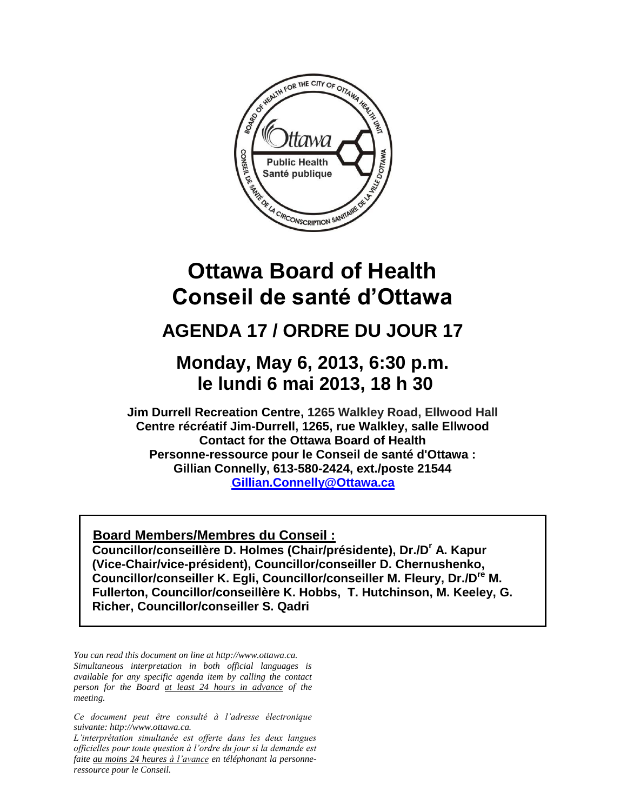

# **Ottawa Board of Health Conseil de santé d'Ottawa**

## **AGENDA 17 / ORDRE DU JOUR 17**

### **Monday, May 6, 2013, 6:30 p.m. le lundi 6 mai 2013, 18 h 30**

**Jim Durrell Recreation Centre, 1265 Walkley Road, Ellwood Hall Centre récréatif Jim-Durrell, 1265, rue Walkley, salle Ellwood Contact for the Ottawa Board of Health Personne-ressource pour le Conseil de santé d'Ottawa : Gillian Connelly, 613-580-2424, ext./poste 21544 [Gillian.Connelly@Ottawa.ca](mailto:UGillian.Connelly@Ottawa.ca)** 

<sup>U</sup>**Board Members/Membres du Conseil :**

**Councillor/conseillère D. Holmes (Chair/présidente), Dr./D<sup>r</sup> A. Kapur (Vice-Chair/vice-président), Councillor/conseiller D. Chernushenko, Councillor/conseiller K. Egli, Councillor/conseiller M. Fleury, Dr./Dre M. Fullerton, Councillor/conseillère K. Hobbs, T. Hutchinson, M. Keeley, G. Richer, Councillor/conseiller S. Qadri**

*You can read this document on line at http://www.ottawa.ca. Simultaneous interpretation in both official languages is available for any specific agenda item by calling the contact person for the Board at least 24 hours in advance of the meeting.*

*Ce document peut être consulté à l'adresse électronique suivante: http://www.ottawa.ca.*

*L'interprétation simultanée est offerte dans les deux langues officielles pour toute question à l'ordre du jour si la demande est faite au moins 24 heures à l'avance en téléphonant la personneressource pour le Conseil.*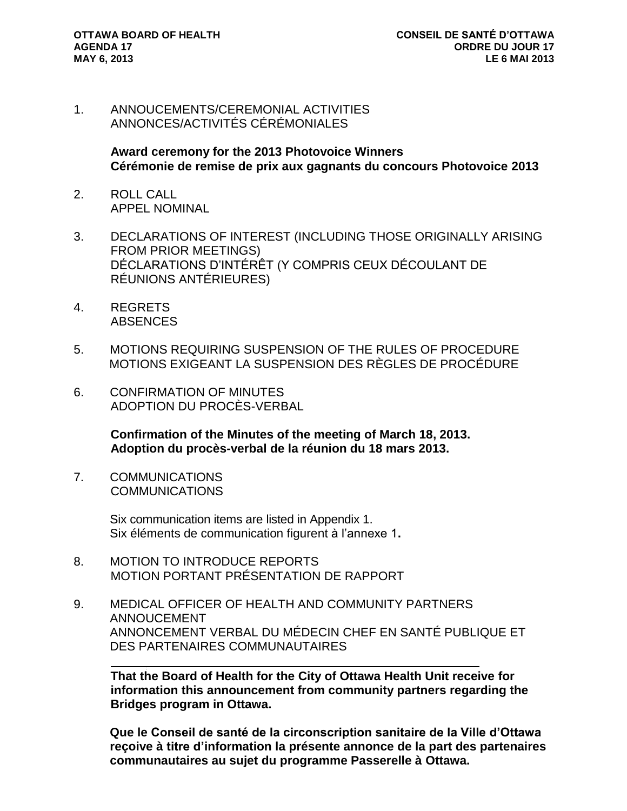i<br>L

1. ANNOUCEMENTS/CEREMONIAL ACTIVITIES ANNONCES/ACTIVITÉS CÉRÉMONIALES

> **Award ceremony for the 2013 Photovoice Winners Cérémonie de remise de prix aux gagnants du concours Photovoice 2013**

- 2. ROLL CALL APPEL NOMINAL
- 3. DECLARATIONS OF INTEREST (INCLUDING THOSE ORIGINALLY ARISING FROM PRIOR MEETINGS) DÉCLARATIONS D'INTÉRÊT (Y COMPRIS CEUX DÉCOULANT DE RÉUNIONS ANTÉRIEURES)
- 4. REGRETS **ABSENCES**
- 5. MOTIONS REQUIRING SUSPENSION OF THE RULES OF PROCEDURE MOTIONS EXIGEANT LA SUSPENSION DES RÈGLES DE PROCÉDURE
- 6. CONFIRMATION OF MINUTES ADOPTION DU PROCÈS-VERBAL

**Confirmation of the Minutes of the meeting of March 18, 2013. Adoption du procès-verbal de la réunion du 18 mars 2013.** 

7. COMMUNICATIONS **COMMUNICATIONS** 

> Six communication items are listed in Appendix 1. Six éléments de communication figurent à l'annexe 1**.**

- 8. MOTION TO INTRODUCE REPORTS MOTION PORTANT PRÉSENTATION DE RAPPORT
- 9. MEDICAL OFFICER OF HEALTH AND COMMUNITY PARTNERS ANNOUCEMENT ANNONCEMENT VERBAL DU MÉDECIN CHEF EN SANTÉ PUBLIQUE ET DES PARTENAIRES COMMUNAUTAIRES

**That the Board of Health for the City of Ottawa Health Unit receive for information this announcement from community partners regarding the Bridges program in Ottawa.** 

**Que le Conseil de santé de la circonscription sanitaire de la Ville d'Ottawa reçoive à titre d'information la présente annonce de la part des partenaires communautaires au sujet du programme Passerelle à Ottawa.**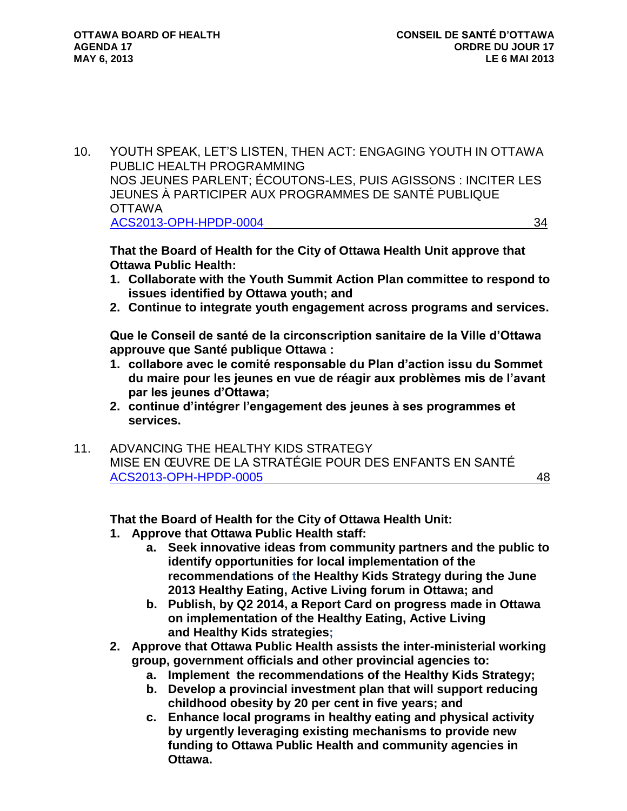10. YOUTH SPEAK, LET'S LISTEN, THEN ACT: ENGAGING YOUTH IN OTTAWA PUBLIC HEALTH PROGRAMMING NOS JEUNES PARLENT; ÉCOUTONS-LES, PUIS AGISSONS : INCITER LES JEUNES À PARTICIPER AUX PROGRAMMES DE SANTÉ PUBLIQUE OTTAWA [ACS2013-OPH-HPDP-0004](http://ottawa.ca/calendar/ottawa/citycouncil/obh/2013/05-06/Report%202%20-%20Youth%20Programming.pdf) 34

**That the Board of Health for the City of Ottawa Health Unit approve that Ottawa Public Health:**

- **1. Collaborate with the Youth Summit Action Plan committee to respond to issues identified by Ottawa youth; and**
- **2. Continue to integrate youth engagement across programs and services.**

**Que le Conseil de santé de la circonscription sanitaire de la Ville d'Ottawa approuve que Santé publique Ottawa :**

- **1. collabore avec le comité responsable du Plan d'action issu du Sommet du maire pour les jeunes en vue de réagir aux problèmes mis de l'avant par les jeunes d'Ottawa;**
- **2. continue d'intégrer l'engagement des jeunes à ses programmes et services.**
- 11. ADVANCING THE HEALTHY KIDS STRATEGY MISE EN ŒUVRE DE LA STRATÉGIE POUR DES ENFANTS EN SANTÉ [ACS2013-OPH-HPDP-0005](http://ottawa.ca/calendar/ottawa/citycouncil/obh/2013/05-06/Report%203%20-%20Healthy%20Kids.pdf) 48

#### **That the Board of Health for the City of Ottawa Health Unit:**

- **1. Approve that Ottawa Public Health staff:**
	- **a. Seek innovative ideas from community partners and the public to identify opportunities for local implementation of the recommendations of the Healthy Kids Strategy during the June 2013 Healthy Eating, Active Living forum in Ottawa; and**
	- **b. Publish, by Q2 2014, a Report Card on progress made in Ottawa on implementation of the Healthy Eating, Active Living and Healthy Kids strategies;**
- **2. Approve that Ottawa Public Health assists the inter-ministerial working group, government officials and other provincial agencies to:**
	- **a. Implement the recommendations of the Healthy Kids Strategy;**
	- **b. Develop a provincial investment plan that will support reducing childhood obesity by 20 per cent in five years; and**
	- **c. Enhance local programs in healthy eating and physical activity by urgently leveraging existing mechanisms to provide new funding to Ottawa Public Health and community agencies in Ottawa.**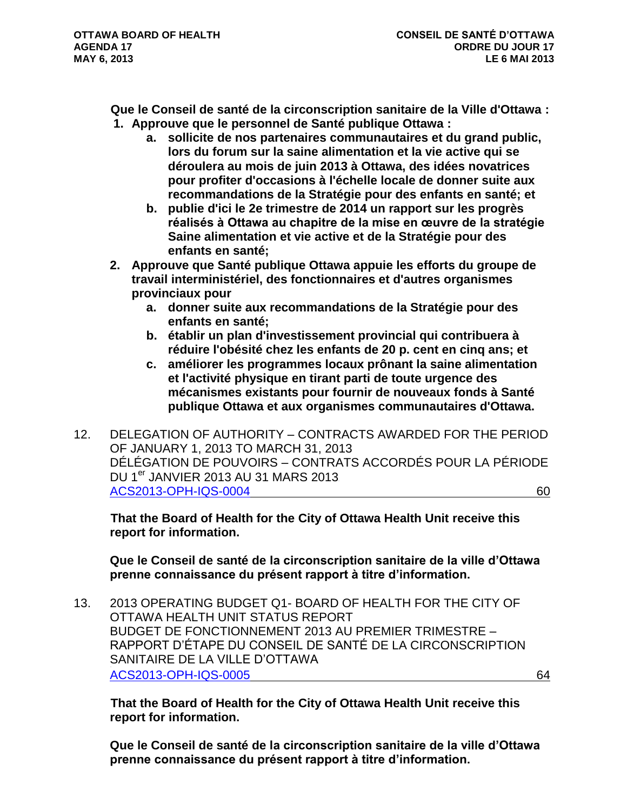**Que le Conseil de santé de la circonscription sanitaire de la Ville d'Ottawa : 1. Approuve que le personnel de Santé publique Ottawa :**

- **a. sollicite de nos partenaires communautaires et du grand public, lors du forum sur la saine alimentation et la vie active qui se déroulera au mois de juin 2013 à Ottawa, des idées novatrices pour profiter d'occasions à l'échelle locale de donner suite aux recommandations de la Stratégie pour des enfants en santé; et**
- **b. publie d'ici le 2e trimestre de 2014 un rapport sur les progrès réalisés à Ottawa au chapitre de la mise en œuvre de la stratégie Saine alimentation et vie active et de la Stratégie pour des enfants en santé;**
- **2. Approuve que Santé publique Ottawa appuie les efforts du groupe de travail interministériel, des fonctionnaires et d'autres organismes provinciaux pour**
	- **a. donner suite aux recommandations de la Stratégie pour des enfants en santé;**
	- **b. établir un plan d'investissement provincial qui contribuera à réduire l'obésité chez les enfants de 20 p. cent en cinq ans; et**
	- **c. améliorer les programmes locaux prônant la saine alimentation et l'activité physique en tirant parti de toute urgence des mécanismes existants pour fournir de nouveaux fonds à Santé publique Ottawa et aux organismes communautaires d'Ottawa.**
- 12. DELEGATION OF AUTHORITY CONTRACTS AWARDED FOR THE PERIOD OF JANUARY 1, 2013 TO MARCH 31, 2013 DÉLÉGATION DE POUVOIRS – CONTRATS ACCORDÉS POUR LA PÉRIODE DU 1<sup>er</sup> JANVIER 2013 AU 31 MARS 2013 [ACS2013-OPH-IQS-0004](http://ottawa.ca/calendar/ottawa/citycouncil/obh/2013/05-06/Report%204%20-%20Q1%202013%20DOA.pdf) 60

**That the Board of Health for the City of Ottawa Health Unit receive this report for information.** 

**Que le Conseil de santé de la circonscription sanitaire de la ville d'Ottawa prenne connaissance du présent rapport à titre d'information.**

13. 2013 OPERATING BUDGET Q1- BOARD OF HEALTH FOR THE CITY OF OTTAWA HEALTH UNIT STATUS REPORT BUDGET DE FONCTIONNEMENT 2013 AU PREMIER TRIMESTRE – RAPPORT D'ÉTAPE DU CONSEIL DE SANTÉ DE LA CIRCONSCRIPTION SANITAIRE DE LA VILLE D'OTTAWA [ACS2013-OPH-IQS-0005](http://ottawa.ca/calendar/ottawa/citycouncil/obh/2013/05-06/Report%205%20-%20Q1%202013%20Operating%20Status.pdf) 64

**That the Board of Health for the City of Ottawa Health Unit receive this report for information.** 

**Que le Conseil de santé de la circonscription sanitaire de la ville d'Ottawa prenne connaissance du présent rapport à titre d'information.**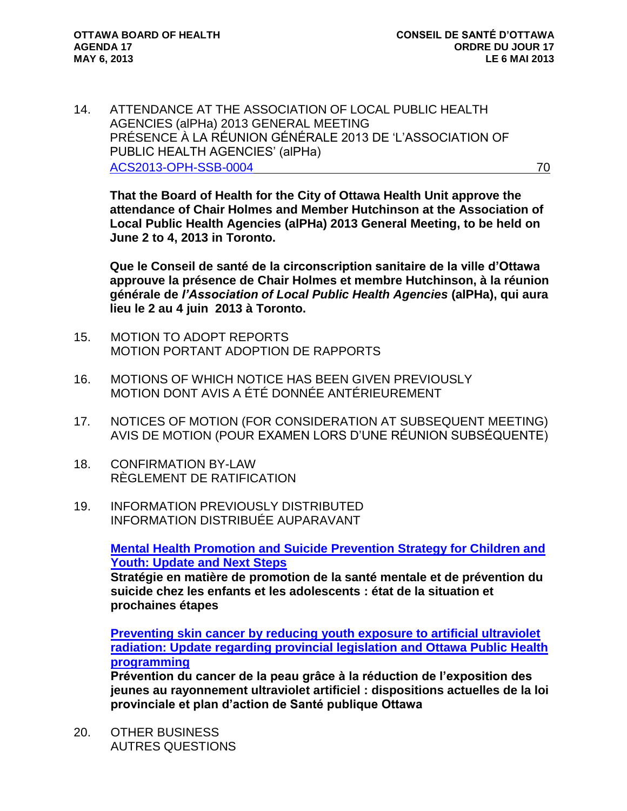14. ATTENDANCE AT THE ASSOCIATION OF LOCAL PUBLIC HEALTH AGENCIES (alPHa) 2013 GENERAL MEETING PRÉSENCE À LA RÉUNION GÉNÉRALE 2013 DE 'L'ASSOCIATION OF PUBLIC HEALTH AGENCIES' (alPHa) [ACS2013-OPH-SSB-0004](http://ottawa.ca/calendar/ottawa/citycouncil/obh/2013/05-06/Report%206%20-%20ATTENDANCE%20AT%20THE%20ASSOCIATION%20OF%20LOCAL%20PUBLIC%20HEALTH%20AGENCIES%20(alPHa)%202013%20ANNUAL%20MEETING.pdf) 70

**That the Board of Health for the City of Ottawa Health Unit approve the attendance of Chair Holmes and Member Hutchinson at the Association of Local Public Health Agencies (alPHa) 2013 General Meeting, to be held on June 2 to 4, 2013 in Toronto.** 

**Que le Conseil de santé de la circonscription sanitaire de la ville d'Ottawa approuve la présence de Chair Holmes et membre Hutchinson, à la réunion générale de** *l'Association of Local Public Health Agencies* **(alPHa), qui aura lieu le 2 au 4 juin 2013 à Toronto.**

- 15. MOTION TO ADOPT REPORTS MOTION PORTANT ADOPTION DE RAPPORTS
- 16. MOTIONS OF WHICH NOTICE HAS BEEN GIVEN PREVIOUSLY MOTION DONT AVIS A ÉTÉ DONNÉE ANTÉRIEUREMENT
- 17. NOTICES OF MOTION (FOR CONSIDERATION AT SUBSEQUENT MEETING) AVIS DE MOTION (POUR EXAMEN LORS D'UNE RÉUNION SUBSÉQUENTE)
- 18. CONFIRMATION BY-LAW RÈGLEMENT DE RATIFICATION
- 19. INFORMATION PREVIOUSLY DISTRIBUTED INFORMATION DISTRIBUÉE AUPARAVANT

**[Mental Health Promotion and Suicide Prevention Strategy for Children and](http://ottawa.ca/calendar/ottawa/citycouncil/obh/2013/05-06/MEMO%201%20-%20Information%20Previously%20Distributed.pdf)  [Youth: Update and Next Steps](http://ottawa.ca/calendar/ottawa/citycouncil/obh/2013/05-06/MEMO%201%20-%20Information%20Previously%20Distributed.pdf)**

**Stratégie en matière de promotion de la santé mentale et de prévention du suicide chez les enfants et les adolescents : état de la situation et prochaines étapes**

**[Preventing skin cancer by reducing youth exposure to artificial ultraviolet](http://ottawa.ca/calendar/ottawa/citycouncil/obh/2013/05-06/MEMO%202%20-%20Information%20Previously%20Distributed.pdf)  [radiation: Update regarding provincial legislation and Ottawa Public Health](http://ottawa.ca/calendar/ottawa/citycouncil/obh/2013/05-06/MEMO%202%20-%20Information%20Previously%20Distributed.pdf)  [programming](http://ottawa.ca/calendar/ottawa/citycouncil/obh/2013/05-06/MEMO%202%20-%20Information%20Previously%20Distributed.pdf)**

**Prévention du cancer de la peau grâce à la réduction de l'exposition des jeunes au rayonnement ultraviolet artificiel : dispositions actuelles de la loi provinciale et plan d'action de Santé publique Ottawa**

20. OTHER BUSINESS AUTRES QUESTIONS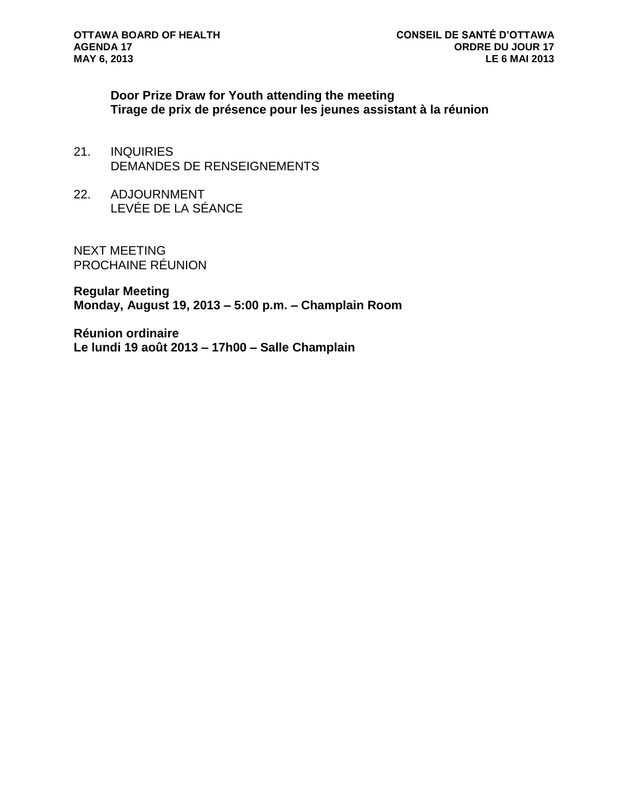**Door Prize Draw for Youth attending the meeting Tirage de prix de présence pour les jeunes assistant à la réunion**

- 21. INQUIRIES DEMANDES DE RENSEIGNEMENTS
- 22. ADJOURNMENT LEVÉE DE LA SÉANCE

NEXT MEETING PROCHAINE RÉUNION

**Regular Meeting Monday, August 19, 2013 – 5:00 p.m. – Champlain Room**

**Réunion ordinaire Le lundi 19 août 2013 – 17h00 – Salle Champlain**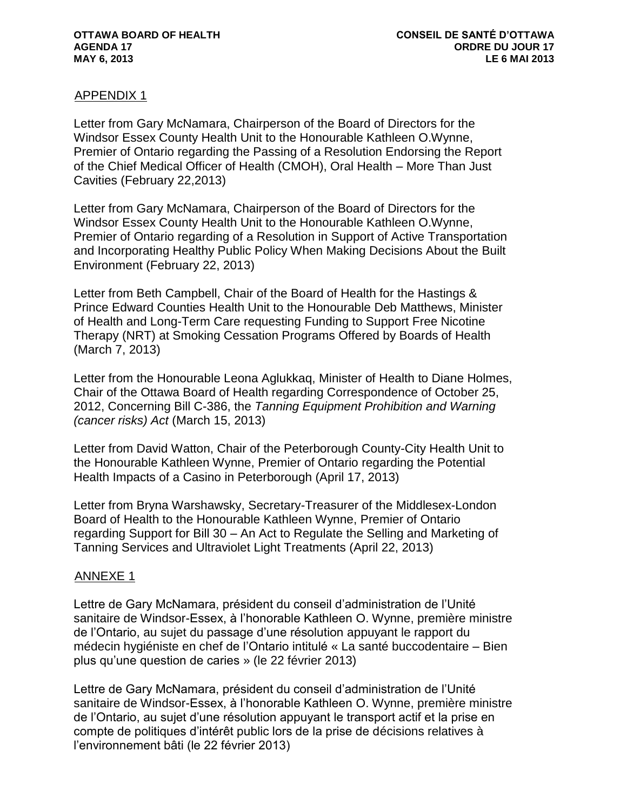#### APPENDIX 1

Letter from Gary McNamara, Chairperson of the Board of Directors for the Windsor Essex County Health Unit to the Honourable Kathleen O.Wynne, Premier of Ontario regarding the Passing of a Resolution Endorsing the Report of the Chief Medical Officer of Health (CMOH), Oral Health – More Than Just Cavities (February 22,2013)

Letter from Gary McNamara, Chairperson of the Board of Directors for the Windsor Essex County Health Unit to the Honourable Kathleen O.Wynne, Premier of Ontario regarding of a Resolution in Support of Active Transportation and Incorporating Healthy Public Policy When Making Decisions About the Built Environment (February 22, 2013)

Letter from Beth Campbell, Chair of the Board of Health for the Hastings & Prince Edward Counties Health Unit to the Honourable Deb Matthews, Minister of Health and Long-Term Care requesting Funding to Support Free Nicotine Therapy (NRT) at Smoking Cessation Programs Offered by Boards of Health (March 7, 2013)

Letter from the Honourable Leona Aglukkaq, Minister of Health to Diane Holmes, Chair of the Ottawa Board of Health regarding Correspondence of October 25, 2012, Concerning Bill C-386, the *Tanning Equipment Prohibition and Warning (cancer risks) Act* (March 15, 2013)

Letter from David Watton, Chair of the Peterborough County-City Health Unit to the Honourable Kathleen Wynne, Premier of Ontario regarding the Potential Health Impacts of a Casino in Peterborough (April 17, 2013)

Letter from Bryna Warshawsky, Secretary-Treasurer of the Middlesex-London Board of Health to the Honourable Kathleen Wynne, Premier of Ontario regarding Support for Bill 30 – An Act to Regulate the Selling and Marketing of Tanning Services and Ultraviolet Light Treatments (April 22, 2013)

#### ANNEXE 1

Lettre de Gary McNamara, président du conseil d'administration de l'Unité sanitaire de Windsor-Essex, à l'honorable Kathleen O. Wynne, première ministre de l'Ontario, au sujet du passage d'une résolution appuyant le rapport du médecin hygiéniste en chef de l'Ontario intitulé « La santé buccodentaire – Bien plus qu'une question de caries » (le 22 février 2013)

Lettre de Gary McNamara, président du conseil d'administration de l'Unité sanitaire de Windsor-Essex, à l'honorable Kathleen O. Wynne, première ministre de l'Ontario, au sujet d'une résolution appuyant le transport actif et la prise en compte de politiques d'intérêt public lors de la prise de décisions relatives à l'environnement bâti (le 22 février 2013)